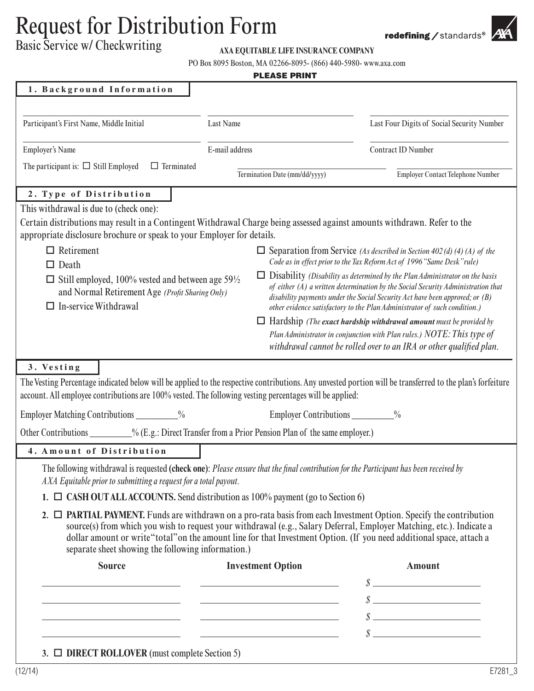## Request for Distribution Form

Basic Service w/ Checkwriting

## **AXA EQUITABLE LIFE INSURANCE COMPANY**

PO Box 8095 Boston, MA 02266-8095- (866) 440-5980- www.axa.com

| <b>PLEASE PRINT</b>                                                                                                                                                                                                                                                                |                |                                                                                                                                                                                                                                                                                                                                              |                                                                                                                                                                                                                                                |  |  |  |  |  |  |
|------------------------------------------------------------------------------------------------------------------------------------------------------------------------------------------------------------------------------------------------------------------------------------|----------------|----------------------------------------------------------------------------------------------------------------------------------------------------------------------------------------------------------------------------------------------------------------------------------------------------------------------------------------------|------------------------------------------------------------------------------------------------------------------------------------------------------------------------------------------------------------------------------------------------|--|--|--|--|--|--|
| 1. Background Information                                                                                                                                                                                                                                                          |                |                                                                                                                                                                                                                                                                                                                                              |                                                                                                                                                                                                                                                |  |  |  |  |  |  |
| Participant's First Name, Middle Initial                                                                                                                                                                                                                                           | Last Name      |                                                                                                                                                                                                                                                                                                                                              | Last Four Digits of Social Security Number                                                                                                                                                                                                     |  |  |  |  |  |  |
| <b>Employer's Name</b>                                                                                                                                                                                                                                                             | E-mail address |                                                                                                                                                                                                                                                                                                                                              | Contract ID Number                                                                                                                                                                                                                             |  |  |  |  |  |  |
| The participant is: $\Box$ Still Employed<br>$\Box$ Terminated                                                                                                                                                                                                                     |                | Termination Date (mm/dd/yyyy)                                                                                                                                                                                                                                                                                                                | Employer Contact Telephone Number                                                                                                                                                                                                              |  |  |  |  |  |  |
| 2. Type of Distribution                                                                                                                                                                                                                                                            |                |                                                                                                                                                                                                                                                                                                                                              |                                                                                                                                                                                                                                                |  |  |  |  |  |  |
| This withdrawal is due to (check one):<br>Certain distributions may result in a Contingent Withdrawal Charge being assessed against amounts withdrawn. Refer to the<br>appropriate disclosure brochure or speak to your Employer for details.                                      |                |                                                                                                                                                                                                                                                                                                                                              |                                                                                                                                                                                                                                                |  |  |  |  |  |  |
| $\Box$ Retirement<br>$\Box$ Separation from Service (As described in Section 402(d)(4)(A) of the<br>Code as in effect prior to the Tax Reform Act of 1996 "Same Desk" rule)<br>$\Box$ Death                                                                                        |                |                                                                                                                                                                                                                                                                                                                                              |                                                                                                                                                                                                                                                |  |  |  |  |  |  |
| $\Box$ Still employed, 100% vested and between age 59½<br>and Normal Retirement Age (Profit Sharing Only)<br>$\Box$ In-service Withdrawal                                                                                                                                          |                | $\Box$ Disability <i>(Disability as determined by the Plan Administrator on the basis</i><br>of either $(A)$ a written determination by the Social Security Administration that<br>disability payments under the Social Security Act have been approved; or (B)<br>other evidence satisfactory to the Plan Administrator of such condition.) |                                                                                                                                                                                                                                                |  |  |  |  |  |  |
|                                                                                                                                                                                                                                                                                    |                |                                                                                                                                                                                                                                                                                                                                              | $\Box$ Hardship (The exact hardship withdrawal amount must be provided by<br>Plan Administrator in conjunction with Plan rules.) NOTE: This type of<br>withdrawal cannot be rolled over to an IRA or other qualified plan.                     |  |  |  |  |  |  |
| 3. Vesting<br>The Vesting Percentage indicated below will be applied to the respective contributions. Any unvested portion will be transferred to the plan's forfeiture<br>account. All employee contributions are 100% vested. The following vesting percentages will be applied: |                |                                                                                                                                                                                                                                                                                                                                              |                                                                                                                                                                                                                                                |  |  |  |  |  |  |
| Employer Matching Contributions __________%                                                                                                                                                                                                                                        |                | Employer Contributions                                                                                                                                                                                                                                                                                                                       | $\frac{0}{0}$                                                                                                                                                                                                                                  |  |  |  |  |  |  |
| Other Contributions __________% (E.g.: Direct Transfer from a Prior Pension Plan of the same employer.)                                                                                                                                                                            |                |                                                                                                                                                                                                                                                                                                                                              |                                                                                                                                                                                                                                                |  |  |  |  |  |  |
| 4. Amount of Distribution                                                                                                                                                                                                                                                          |                |                                                                                                                                                                                                                                                                                                                                              |                                                                                                                                                                                                                                                |  |  |  |  |  |  |
| The following withdrawal is requested (check one): Please ensure that the final contribution for the Participant has been received by<br>AXA Equitable prior to submitting a request for a total payout.                                                                           |                |                                                                                                                                                                                                                                                                                                                                              |                                                                                                                                                                                                                                                |  |  |  |  |  |  |
| 1. $\Box$ CASH OUT ALLACCOUNTS. Send distribution as 100% payment (go to Section 6)                                                                                                                                                                                                |                |                                                                                                                                                                                                                                                                                                                                              |                                                                                                                                                                                                                                                |  |  |  |  |  |  |
| 2. $\Box$ <b>PARTIAL PAYMENT.</b> Funds are withdrawn on a pro-rata basis from each Investment Option. Specify the contribution<br>separate sheet showing the following information.)                                                                                              |                |                                                                                                                                                                                                                                                                                                                                              | source(s) from which you wish to request your withdrawal (e.g., Salary Deferral, Employer Matching, etc.). Indicate a<br>dollar amount or write "total" on the amount line for that Investment Option. (If you need additional space, attach a |  |  |  |  |  |  |
| <b>Source</b>                                                                                                                                                                                                                                                                      |                | <b>Investment Option</b>                                                                                                                                                                                                                                                                                                                     | <b>Amount</b>                                                                                                                                                                                                                                  |  |  |  |  |  |  |
|                                                                                                                                                                                                                                                                                    |                |                                                                                                                                                                                                                                                                                                                                              |                                                                                                                                                                                                                                                |  |  |  |  |  |  |
|                                                                                                                                                                                                                                                                                    |                | <u> 1989 - Johann Harry Harry Harry Harry Harry Harry Harry Harry Harry Harry Harry Harry Harry Harry Harry Harry</u>                                                                                                                                                                                                                        | $\mathcal{S} \xrightarrow{\qquad \qquad }$                                                                                                                                                                                                     |  |  |  |  |  |  |
|                                                                                                                                                                                                                                                                                    |                | <u> 1989 - Johann Harry Harry Harry Harry Harry Harry Harry Harry Harry Harry Harry Harry Harry Harry Harry Harry</u>                                                                                                                                                                                                                        | $\int$                                                                                                                                                                                                                                         |  |  |  |  |  |  |
|                                                                                                                                                                                                                                                                                    |                | <u> 1990 - Johann John Stone, mars et al. (</u>                                                                                                                                                                                                                                                                                              |                                                                                                                                                                                                                                                |  |  |  |  |  |  |
| 3. $\Box$ DIRECT ROLLOVER (must complete Section 5)                                                                                                                                                                                                                                |                |                                                                                                                                                                                                                                                                                                                                              |                                                                                                                                                                                                                                                |  |  |  |  |  |  |